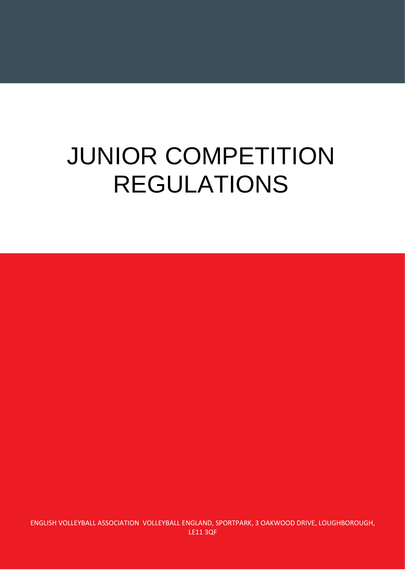# JUNIOR COMPETITION REGULATIONS

ENGLISH VOLLEYBALL ASSOCIATION VOLLEYBALL ENGLAND, SPORTPARK, 3 OAKWOOD DRIVE, LOUGHBOROUGH, LE11 3QF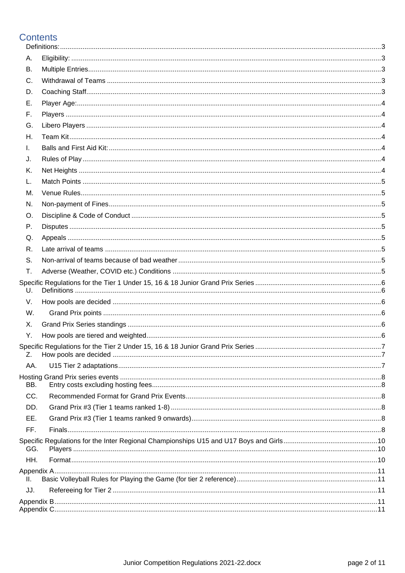## **Contents**

| А.  |  |
|-----|--|
| В.  |  |
| C.  |  |
| D.  |  |
| Е.  |  |
| F.  |  |
| G.  |  |
| Η.  |  |
| I.  |  |
| J.  |  |
| Κ.  |  |
| L.  |  |
| М.  |  |
| N.  |  |
| O.  |  |
| Р.  |  |
| Q.  |  |
| R.  |  |
| S.  |  |
| Τ.  |  |
|     |  |
| U.  |  |
| V.  |  |
| W.  |  |
| Χ.  |  |
| Υ.  |  |
| Z.  |  |
| AA. |  |
| BB. |  |
| CC. |  |
| DD. |  |
| EE. |  |
| FF. |  |
|     |  |
| GG. |  |
| HH. |  |
| Ш.  |  |
| JJ. |  |
|     |  |
|     |  |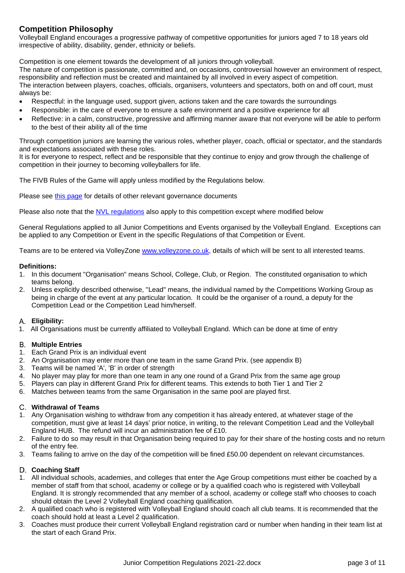### **Competition Philosophy**

Volleyball England encourages a progressive pathway of competitive opportunities for juniors aged 7 to 18 years old irrespective of ability, disability, gender, ethnicity or beliefs.

Competition is one element towards the development of all juniors through volleyball.

The nature of competition is passionate, committed and, on occasions, controversial however an environment of respect, responsibility and reflection must be created and maintained by all involved in every aspect of competition. The interaction between players, coaches, officials, organisers, volunteers and spectators, both on and off court, must always be:

- Respectful: in the language used, support given, actions taken and the care towards the surroundings
- Responsible: in the care of everyone to ensure a safe environment and a positive experience for all
- Reflective: in a calm, constructive, progressive and affirming manner aware that not everyone will be able to perform to the best of their ability all of the time

Through competition juniors are learning the various roles, whether player, coach, official or spectator, and the standards and expectations associated with these roles.

It is for everyone to respect, reflect and be responsible that they continue to enjoy and grow through the challenge of competition in their journey to becoming volleyballers for life.

The FIVB Rules of the Game will apply unless modified by the Regulations below.

Please see [this page](https://www.volleyballengland.org/about_us/about_us_/governance) for details of other relevant governance documents

Please also note that the [NVL regulations](https://www.volleyballengland.org/docs/NVL%20Regulations%202021-22.pdf) also apply to this competition except where modified below

General Regulations applied to all Junior Competitions and Events organised by the Volleyball England. Exceptions can be applied to any Competition or Event in the specific Regulations of that Competition or Event.

Teams are to be entered via VolleyZone [www.volleyzone.co.uk,](http://www.volleyzone.co.uk/) details of which will be sent to all interested teams.

#### <span id="page-2-0"></span>**Definitions:**

- 1. In this document "Organisation" means School, College, Club, or Region. The constituted organisation to which teams belong.
- 2. Unless explicitly described otherwise, "Lead" means, the individual named by the Competitions Working Group as being in charge of the event at any particular location. It could be the organiser of a round, a deputy for the Competition Lead or the Competition Lead him/herself.

#### <span id="page-2-1"></span>**Eligibility:**

1. All Organisations must be currently affiliated to Volleyball England. Which can be done at time of entry

#### <span id="page-2-2"></span>**Multiple Entries**

- 1. Each Grand Prix is an individual event
- 2. An Organisation may enter more than one team in the same Grand Prix. (see appendix B)
- 3. Teams will be named 'A', 'B' in order of strength
- 4. No player may play for more than one team in any one round of a Grand Prix from the same age group
- 5. Players can play in different Grand Prix for different teams. This extends to both Tier 1 and Tier 2
- 6. Matches between teams from the same Organisation in the same pool are played first.

#### <span id="page-2-3"></span>**Withdrawal of Teams**

- 1. Any Organisation wishing to withdraw from any competition it has already entered, at whatever stage of the competition, must give at least 14 days' prior notice, in writing, to the relevant Competition Lead and the Volleyball England HUB. The refund will incur an administration fee of £10.
- 2. Failure to do so may result in that Organisation being required to pay for their share of the hosting costs and no return of the entry fee.
- 3. Teams failing to arrive on the day of the competition will be fined £50.00 dependent on relevant circumstances.

#### <span id="page-2-4"></span>**Coaching Staff**

- 1. All individual schools, academies, and colleges that enter the Age Group competitions must either be coached by a member of staff from that school, academy or college or by a qualified coach who is registered with Volleyball England. It is strongly recommended that any member of a school, academy or college staff who chooses to coach should obtain the Level 2 Volleyball England coaching qualification.
- 2. A qualified coach who is registered with Volleyball England should coach all club teams. It is recommended that the coach should hold at least a Level 2 qualification.
- 3. Coaches must produce their current Volleyball England registration card or number when handing in their team list at the start of each Grand Prix.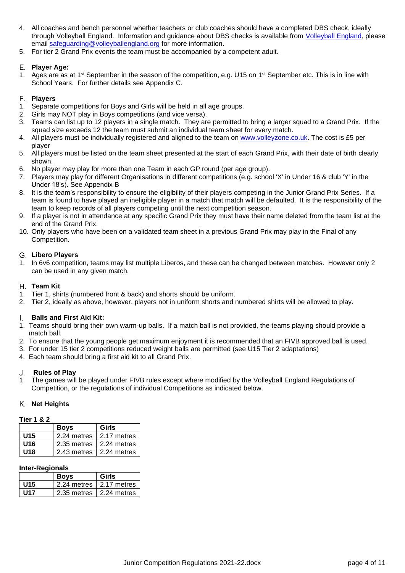- 4. All coaches and bench personnel whether teachers or club coaches should have a completed DBS check, ideally through Volleyball England. Information and guidance about DBS checks is available from [Volleyball England,](http://volleyballengland.org/about_us/safeguarding__club_welfare) please email [safeguarding@volleyballengland.org](mailto:safeguarding@volleyballengland.org) for more information.
- 5. For tier 2 Grand Prix events the team must be accompanied by a competent adult.

#### <span id="page-3-0"></span>**Player Age:**

1. Ages are as at  $1^{st}$  September in the season of the competition, e.g. U15 on  $1^{st}$  September etc. This is in line with School Years. For further details see Appendix C.

#### <span id="page-3-1"></span>**Players**

- 1. Separate competitions for Boys and Girls will be held in all age groups.
- 2. Girls may NOT play in Boys competitions (and vice versa).
- 3. Teams can list up to 12 players in a single match. They are permitted to bring a larger squad to a Grand Prix. If the squad size exceeds 12 the team must submit an individual team sheet for every match.
- 4. All players must be individually registered and aligned to the team on [www.volleyzone.co.uk.](http://www.volleyzone.co.uk/) The cost is £5 per player
- 5. All players must be listed on the team sheet presented at the start of each Grand Prix, with their date of birth clearly shown.
- 6. No player may play for more than one Team in each GP round (per age group).
- 7. Players may play for different Organisations in different competitions (e.g. school 'X' in Under 16 & club 'Y' in the Under 18's). See Appendix B
- 8. It is the team's responsibility to ensure the eligibility of their players competing in the Junior Grand Prix Series. If a team is found to have played an ineligible player in a match that match will be defaulted. It is the responsibility of the team to keep records of all players competing until the next competition season.
- 9. If a player is not in attendance at any specific Grand Prix they must have their name deleted from the team list at the end of the Grand Prix.
- 10. Only players who have been on a validated team sheet in a previous Grand Prix may play in the Final of any Competition.

#### <span id="page-3-2"></span>**Libero Players**

1. In 6v6 competition, teams may list multiple Liberos, and these can be changed between matches. However only 2 can be used in any given match.

#### <span id="page-3-3"></span>**Team Kit**

- 1. Tier 1, shirts (numbered front & back) and shorts should be uniform.
- 2. Tier 2, ideally as above, however, players not in uniform shorts and numbered shirts will be allowed to play.

#### <span id="page-3-4"></span>**Balls and First Aid Kit:**

- 1. Teams should bring their own warm-up balls. If a match ball is not provided, the teams playing should provide a match ball.
- 2. To ensure that the young people get maximum enjoyment it is recommended that an FIVB approved ball is used.
- 3. For under 15 tier 2 competitions reduced weight balls are permitted (see U15 Tier 2 adaptations)
- 4. Each team should bring a first aid kit to all Grand Prix.

#### <span id="page-3-5"></span>**Rules of Play**

1. The games will be played under FIVB rules except where modified by the Volleyball England Regulations of Competition, or the regulations of individual Competitions as indicated below.

#### <span id="page-3-6"></span>**Net Heights**

#### **Tier 1 & 2**

|     | <b>Boys</b> | Girls       |
|-----|-------------|-------------|
| U15 | 2.24 metres | 2.17 metres |
| U16 | 2.35 metres | 2.24 metres |
| U18 | 2.43 metres | 2.24 metres |

#### **Inter-Regionals**

|                 | <b>Boys</b>                    | Girls       |
|-----------------|--------------------------------|-------------|
| U <sub>15</sub> | 2.24 metres                    | 2.17 metres |
| U17             | 2.35 metres $\mid$ 2.24 metres |             |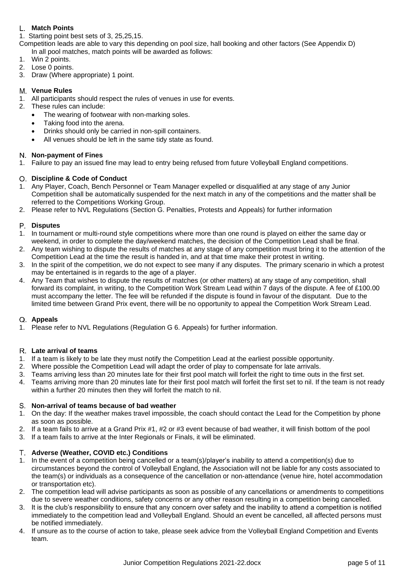#### <span id="page-4-0"></span>**Match Points**

1. Starting point best sets of 3, 25,25,15.

- Competition leads are able to vary this depending on pool size, hall booking and other factors (See Appendix D) In all pool matches, match points will be awarded as follows:
- 1. Win 2 points.
- 2. Lose 0 points.
- 3. Draw (Where appropriate) 1 point.

#### <span id="page-4-1"></span>**Venue Rules**

- 1. All participants should respect the rules of venues in use for events.
- 2. These rules can include:
	- The wearing of footwear with non-marking soles.
		- Taking food into the arena.
	- Drinks should only be carried in non-spill containers.
	- All venues should be left in the same tidy state as found.

#### <span id="page-4-2"></span>**N.** Non-payment of Fines

1. Failure to pay an issued fine may lead to entry being refused from future Volleyball England competitions.

#### <span id="page-4-3"></span>**Discipline & Code of Conduct**

- 1. Any Player, Coach, Bench Personnel or Team Manager expelled or disqualified at any stage of any Junior Competition shall be automatically suspended for the next match in any of the competitions and the matter shall be referred to the Competitions Working Group.
- 2. Please refer to NVL Regulations (Section G. Penalties, Protests and Appeals) for further information

#### <span id="page-4-4"></span>**Disputes**

- 1. In tournament or multi-round style competitions where more than one round is played on either the same day or weekend, in order to complete the day/weekend matches, the decision of the Competition Lead shall be final.
- 2. Any team wishing to dispute the results of matches at any stage of any competition must bring it to the attention of the Competition Lead at the time the result is handed in, and at that time make their protest in writing.
- 3. In the spirit of the competition, we do not expect to see many if any disputes. The primary scenario in which a protest may be entertained is in regards to the age of a player.
- 4. Any Team that wishes to dispute the results of matches (or other matters) at any stage of any competition, shall forward its complaint, in writing, to the Competition Work Stream Lead within 7 days of the dispute. A fee of £100.00 must accompany the letter. The fee will be refunded if the dispute is found in favour of the disputant. Due to the limited time between Grand Prix event, there will be no opportunity to appeal the Competition Work Stream Lead.

#### <span id="page-4-5"></span>**Appeals**

1. Please refer to NVL Regulations (Regulation G 6. Appeals) for further information.

#### <span id="page-4-6"></span>**Late arrival of teams**

- 1. If a team is likely to be late they must notify the Competition Lead at the earliest possible opportunity.
- 2. Where possible the Competition Lead will adapt the order of play to compensate for late arrivals.
- 3. Teams arriving less than 20 minutes late for their first pool match will forfeit the right to time outs in the first set.
- 4. Teams arriving more than 20 minutes late for their first pool match will forfeit the first set to nil. If the team is not ready within a further 20 minutes then they will forfeit the match to nil.

#### <span id="page-4-7"></span>**Non-arrival of teams because of bad weather**

- 1. On the day: If the weather makes travel impossible, the coach should contact the Lead for the Competition by phone as soon as possible.
- 2. If a team fails to arrive at a Grand Prix #1, #2 or #3 event because of bad weather, it will finish bottom of the pool
- 3. If a team fails to arrive at the Inter Regionals or Finals, it will be eliminated.

#### <span id="page-4-8"></span>**Adverse (Weather, COVID etc.) Conditions**

- 1. In the event of a competition being cancelled or a team(s)/player's inability to attend a competition(s) due to circumstances beyond the control of Volleyball England, the Association will not be liable for any costs associated to the team(s) or individuals as a consequence of the cancellation or non-attendance (venue hire, hotel accommodation or transportation etc).
- 2. The competition lead will advise participants as soon as possible of any cancellations or amendments to competitions due to severe weather conditions, safety concerns or any other reason resulting in a competition being cancelled.
- 3. It is the club's responsibility to ensure that any concern over safety and the inability to attend a competition is notified immediately to the competition lead and Volleyball England. Should an event be cancelled, all affected persons must be notified immediately.
- 4. If unsure as to the course of action to take, please seek advice from the Volleyball England Competition and Events team.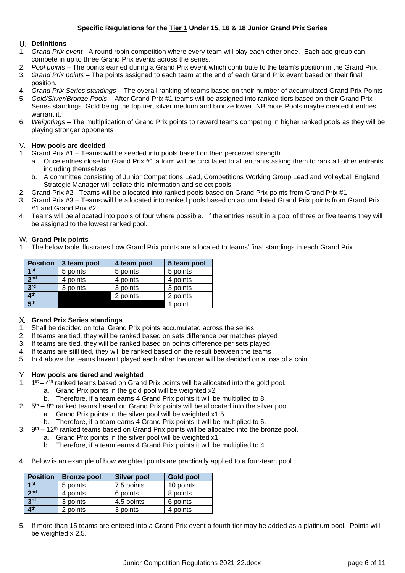#### **Specific Regulations for the Tier 1 Under 15, 16 & 18 Junior Grand Prix Series**

#### <span id="page-5-1"></span><span id="page-5-0"></span>**Definitions**

- 1. *Grand Prix event* A round robin competition where every team will play each other once. Each age group can compete in up to three Grand Prix events across the series.
- 2. *Pool points* The points earned during a Grand Prix event which contribute to the team's position in the Grand Prix.
- 3. *Grand Prix points* The points assigned to each team at the end of each Grand Prix event based on their final position.
- 4. *Grand Prix Series standings* The overall ranking of teams based on their number of accumulated Grand Prix Points
- 5. *Gold/Silver/Bronze Pools* After Grand Prix #1 teams will be assigned into ranked tiers based on their Grand Prix Series standings. Gold being the top tier, silver medium and bronze lower. NB more Pools maybe created if entries warrant it.
- 6. *Weightings*  The multiplication of Grand Prix points to reward teams competing in higher ranked pools as they will be playing stronger opponents

#### <span id="page-5-2"></span>**How pools are decided**

- 1. Grand Prix #1 Teams will be seeded into pools based on their perceived strength.
	- a. Once entries close for Grand Prix #1 a form will be circulated to all entrants asking them to rank all other entrants including themselves
	- b. A committee consisting of Junior Competitions Lead, Competitions Working Group Lead and Volleyball England Strategic Manager will collate this information and select pools.
- 2. Grand Prix #2 –Teams will be allocated into ranked pools based on Grand Prix points from Grand Prix #1
- 3. Grand Prix #3 Teams will be allocated into ranked pools based on accumulated Grand Prix points from Grand Prix #1 and Grand Prix #2
- 4. Teams will be allocated into pools of four where possible. If the entries result in a pool of three or five teams they will be assigned to the lowest ranked pool.

#### <span id="page-5-3"></span>**Grand Prix points**

1. The below table illustrates how Grand Prix points are allocated to teams' final standings in each Grand Prix

| <b>Position</b> | 3 team pool | 4 team pool | 5 team pool |
|-----------------|-------------|-------------|-------------|
| 1st             | 5 points    | 5 points    | 5 points    |
| 2 <sub>nd</sub> | 4 points    | 4 points    | 4 points    |
| 3 <sup>rd</sup> | 3 points    | 3 points    | 3 points    |
| 4 <sup>th</sup> |             | 2 points    | 2 points    |
| 5 <sup>th</sup> |             |             | 1 point     |

#### <span id="page-5-4"></span>**Grand Prix Series standings**

- 1. Shall be decided on total Grand Prix points accumulated across the series.
- 2. If teams are tied, they will be ranked based on sets difference per matches played
- 3. If teams are tied, they will be ranked based on points difference per sets played
- 4. If teams are still tied, they will be ranked based on the result between the teams
- 5. In 4 above the teams haven't played each other the order will be decided on a toss of a coin

#### <span id="page-5-5"></span>**How pools are tiered and weighted**

- 1.  $1<sup>st</sup> 4<sup>th</sup>$  ranked teams based on Grand Prix points will be allocated into the gold pool.
	- a. Grand Prix points in the gold pool will be weighted x2
	- b. Therefore, if a team earns 4 Grand Prix points it will be multiplied to 8.
- 2.  $5<sup>th</sup> 8<sup>th</sup>$  ranked teams based on Grand Prix points will be allocated into the silver pool.
	- a. Grand Prix points in the silver pool will be weighted x1.5
	- b. Therefore, if a team earns 4 Grand Prix points it will be multiplied to 6.
- 3.  $9<sup>th</sup> 12<sup>th</sup>$  ranked teams based on Grand Prix points will be allocated into the bronze pool.
	- a. Grand Prix points in the silver pool will be weighted x1
	- b. Therefore, if a team earns 4 Grand Prix points it will be multiplied to 4.
- 4. Below is an example of how weighted points are practically applied to a four-team pool

| <b>Position</b><br><b>Bronze pool</b> |          | <b>Silver pool</b> | <b>Gold pool</b> |  |
|---------------------------------------|----------|--------------------|------------------|--|
| 1 <sup>st</sup>                       | 5 points | 7.5 points         | 10 points        |  |
| 2 <sub>nd</sub>                       | 4 points | 6 points           | 8 points         |  |
| 3 <sup>rd</sup>                       | 3 points | 4.5 points         | 6 points         |  |
| $\overline{4}$ th                     | 2 points | 3 points           | 4 points         |  |

5. If more than 15 teams are entered into a Grand Prix event a fourth tier may be added as a platinum pool. Points will be weighted x 2.5.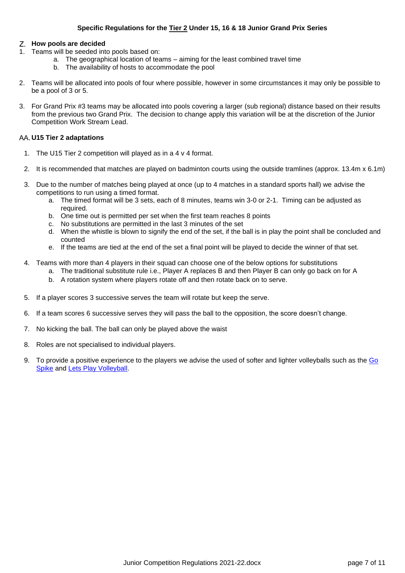#### <span id="page-6-1"></span><span id="page-6-0"></span>**How pools are decided**

- 1. Teams will be seeded into pools based on:
	- a. The geographical location of teams aiming for the least combined travel time
	- b. The availability of hosts to accommodate the pool
- 2. Teams will be allocated into pools of four where possible, however in some circumstances it may only be possible to be a pool of 3 or 5.
- 3. For Grand Prix #3 teams may be allocated into pools covering a larger (sub regional) distance based on their results from the previous two Grand Prix. The decision to change apply this variation will be at the discretion of the Junior Competition Work Stream Lead.

#### <span id="page-6-2"></span>**U15 Tier 2 adaptations**

- 1. The U15 Tier 2 competition will played as in a 4 v 4 format.
- 2. It is recommended that matches are played on badminton courts using the outside tramlines (approx. 13.4m x 6.1m)
- 3. Due to the number of matches being played at once (up to 4 matches in a standard sports hall) we advise the competitions to run using a timed format.
	- a. The timed format will be 3 sets, each of 8 minutes, teams win 3-0 or 2-1. Timing can be adjusted as required.
	- b. One time out is permitted per set when the first team reaches 8 points
	- c. No substitutions are permitted in the last 3 minutes of the set
	- d. When the whistle is blown to signify the end of the set, if the ball is in play the point shall be concluded and counted
	- e. If the teams are tied at the end of the set a final point will be played to decide the winner of that set.
- 4. Teams with more than 4 players in their squad can choose one of the below options for substitutions
	- a. The traditional substitute rule i.e., Player A replaces B and then Player B can only go back on for A
		- b. A rotation system where players rotate off and then rotate back on to serve.
- 5. If a player scores 3 successive serves the team will rotate but keep the serve.
- 6. If a team scores 6 successive serves they will pass the ball to the opposition, the score doesn't change.
- 7. No kicking the ball. The ball can only be played above the waist
- 8. Roles are not specialised to individual players.
- 9. To provide a positive experience to the players we advise the used of softer and lighter volleyballs such as the Go [Spike](https://sportset.com/index.php?id_product=27&id_product_attribute=0&rewrite=go-spike-vsv800-wr-volleyball-england-ball&controller=product) and [Lets Play Volleyball.](https://sportset.com/index.php?id_product=28&id_product_attribute=0&rewrite=lpv-vsv800-wb-volleyball-england-ball&controller=product)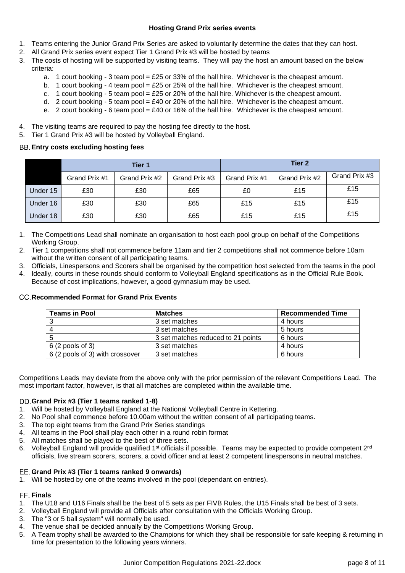#### **Hosting Grand Prix series events**

- <span id="page-7-0"></span>1. Teams entering the Junior Grand Prix Series are asked to voluntarily determine the dates that they can host.
- 2. All Grand Prix series event expect Tier 1 Grand Prix #3 will be hosted by teams
- 3. The costs of hosting will be supported by visiting teams. They will pay the host an amount based on the below criteria:
	- a. 1 court booking 3 team pool = £25 or 33% of the hall hire. Whichever is the cheapest amount.
	- b. 1 court booking 4 team pool = £25 or 25% of the hall hire. Whichever is the cheapest amount.
	- c. 1 court booking 5 team pool =  $£25$  or 20% of the hall hire. Whichever is the cheapest amount.
	- d. 2 court booking 5 team pool = £40 or 20% of the hall hire. Whichever is the cheapest amount.
	- e. 2 court booking 6 team pool =  $£40$  or 16% of the hall hire. Whichever is the cheapest amount.
- 4. The visiting teams are required to pay the hosting fee directly to the host.
- 5. Tier 1 Grand Prix #3 will be hosted by Volleyball England.

#### <span id="page-7-1"></span>**Entry costs excluding hosting fees**

|          | Tier 1        |               |               | Tier 2        |               |               |
|----------|---------------|---------------|---------------|---------------|---------------|---------------|
|          | Grand Prix #1 | Grand Prix #2 | Grand Prix #3 | Grand Prix #1 | Grand Prix #2 | Grand Prix #3 |
| Under 15 | £30           | £30           | £65           | £0            | £15           | £15           |
| Under 16 | £30           | £30           | £65           | £15           | £15           | £15           |
| Under 18 | £30           | £30           | £65           | £15           | £15           | £15           |

- 1. The Competitions Lead shall nominate an organisation to host each pool group on behalf of the Competitions Working Group.
- 2. Tier 1 competitions shall not commence before 11am and tier 2 competitions shall not commence before 10am without the written consent of all participating teams.
- 3. Officials, Linespersons and Scorers shall be organised by the competition host selected from the teams in the pool 4. Ideally, courts in these rounds should conform to Volleyball England specifications as in the Official Rule Book.
- Because of cost implications, however, a good gymnasium may be used.

| <b>Teams in Pool</b>            | <b>Matches</b>                     | <b>Recommended Time</b> |
|---------------------------------|------------------------------------|-------------------------|
|                                 | 3 set matches                      | 4 hours                 |
|                                 | 3 set matches                      | 5 hours                 |
|                                 | 3 set matches reduced to 21 points | 6 hours                 |
| $6(2$ pools of 3)               | 3 set matches                      | 4 hours                 |
| 6 (2 pools of 3) with crossover | 3 set matches                      | 6 hours                 |

#### <span id="page-7-2"></span>**Recommended Format for Grand Prix Events**

Competitions Leads may deviate from the above only with the prior permission of the relevant Competitions Lead. The most important factor, however, is that all matches are completed within the available time.

#### <span id="page-7-3"></span>**Grand Prix #3 (Tier 1 teams ranked 1-8)**

- 1. Will be hosted by Volleyball England at the National Volleyball Centre in Kettering.
- 2. No Pool shall commence before 10.00am without the written consent of all participating teams.
- 3. The top eight teams from the Grand Prix Series standings
- 4. All teams in the Pool shall play each other in a round robin format
- 5. All matches shall be played to the best of three sets.
- 6. Volleyball England will provide qualified 1<sup>st</sup> officials if possible. Teams may be expected to provide competent  $2^{nd}$ officials, live stream scorers, scorers, a covid officer and at least 2 competent linespersons in neutral matches.

#### <span id="page-7-4"></span>**Grand Prix #3 (Tier 1 teams ranked 9 onwards)**

1. Will be hosted by one of the teams involved in the pool (dependant on entries).

#### <span id="page-7-5"></span>**FF.** Finals

- 1. The U18 and U16 Finals shall be the best of 5 sets as per FIVB Rules, the U15 Finals shall be best of 3 sets.
- 2. Volleyball England will provide all Officials after consultation with the Officials Working Group.
- 3. The "3 or 5 ball system" will normally be used.
- 4. The venue shall be decided annually by the Competitions Working Group.
- 5. A Team trophy shall be awarded to the Champions for which they shall be responsible for safe keeping & returning in time for presentation to the following years winners.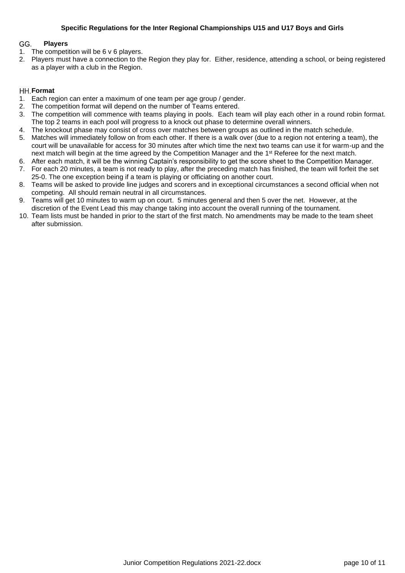#### **Specific Regulations for the Inter Regional Championships U15 and U17 Boys and Girls**

#### <span id="page-9-1"></span><span id="page-9-0"></span> $GG.$ **Players**

- 1. The competition will be 6 v 6 players.
- 2. Players must have a connection to the Region they play for. Either, residence, attending a school, or being registered as a player with a club in the Region.

#### <span id="page-9-2"></span>**Format**

- 1. Each region can enter a maximum of one team per age group / gender.
- 2. The competition format will depend on the number of Teams entered.
- 3. The competition will commence with teams playing in pools. Each team will play each other in a round robin format. The top 2 teams in each pool will progress to a knock out phase to determine overall winners.
- 4. The knockout phase may consist of cross over matches between groups as outlined in the match schedule.
- 5. Matches will immediately follow on from each other. If there is a walk over (due to a region not entering a team), the court will be unavailable for access for 30 minutes after which time the next two teams can use it for warm-up and the next match will begin at the time agreed by the Competition Manager and the 1<sup>st</sup> Referee for the next match.
- 6. After each match, it will be the winning Captain's responsibility to get the score sheet to the Competition Manager.
- 7. For each 20 minutes, a team is not ready to play, after the preceding match has finished, the team will forfeit the set 25-0. The one exception being if a team is playing or officiating on another court.
- 8. Teams will be asked to provide line judges and scorers and in exceptional circumstances a second official when not competing. All should remain neutral in all circumstances.
- 9. Teams will get 10 minutes to warm up on court. 5 minutes general and then 5 over the net. However, at the discretion of the Event Lead this may change taking into account the overall running of the tournament.
- 10. Team lists must be handed in prior to the start of the first match. No amendments may be made to the team sheet after submission.